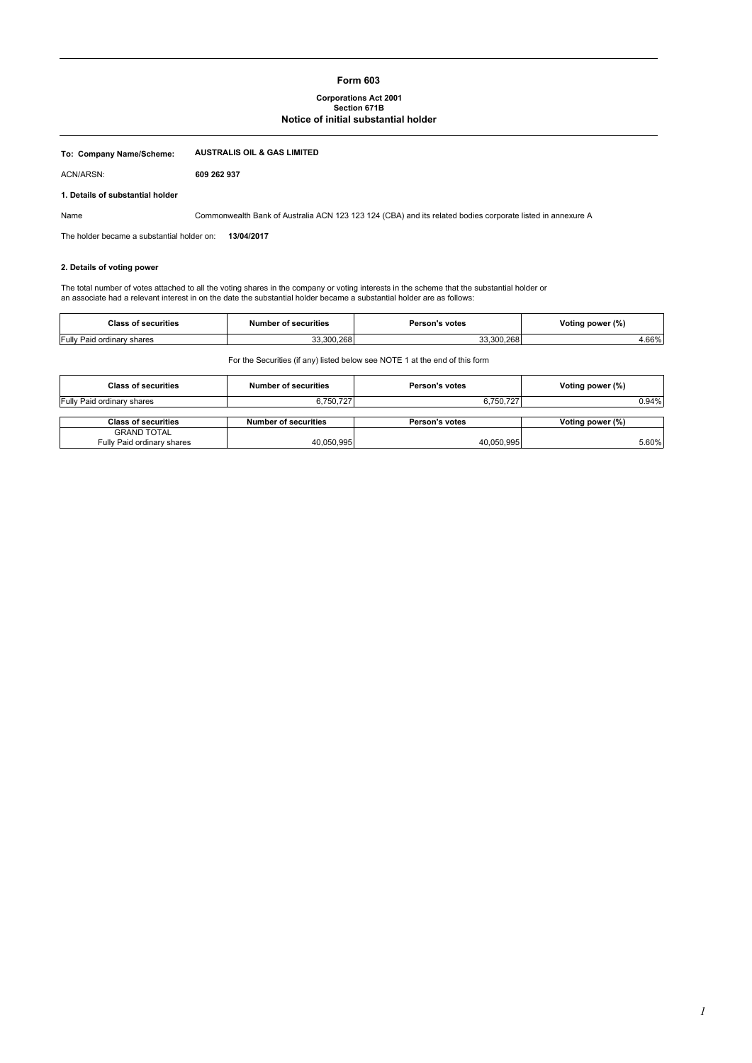### **Form 603**

#### **Corporations Act 2001 Section 671B**

### **Notice of initial substantial holder**

| To: Company Name/Scheme:                   | <b>AUSTRALIS OIL &amp; GAS LIMITED</b>                                                                                                      |
|--------------------------------------------|---------------------------------------------------------------------------------------------------------------------------------------------|
| ACN/ARSN:                                  | 609 262 937                                                                                                                                 |
| 1. Details of substantial holder           |                                                                                                                                             |
| Name                                       | Commonwealth Bank of Australia ACN 123 123 124 (CBA) and its related bodies corporate listed in annexure A                                  |
| The holder became a substantial holder on: | 13/04/2017                                                                                                                                  |
| 2. Details of voting power                 |                                                                                                                                             |
|                                            | The total number of votes attached to all the voting shares in the company or voting interests in the scheme that the substantial holder or |

an associate had a relevant interest in on the date the substantial holder became a substantial holder are as follows:

| Class<br>s of securities              | <b>Number of securities</b> | <b>Person's votes</b> | Voting power (%) |
|---------------------------------------|-----------------------------|-----------------------|------------------|
| <b>Fully Paid</b><br>cordinary shares | .268<br>.300                | 300.268               | .66%             |

For the Securities (if any) listed below see NOTE 1 at the end of this form

| <b>Class of securities</b> | Number of securities        | Person's votes | Voting power (%) |
|----------------------------|-----------------------------|----------------|------------------|
| Fully Paid ordinary shares | 6,750,727                   | 6,750,727      | 0.94%            |
|                            |                             |                |                  |
| <b>Class of securities</b> | <b>Number of securities</b> | Person's votes | Voting power (%) |
| <b>GRAND TOTAL</b>         |                             |                |                  |
|                            |                             |                |                  |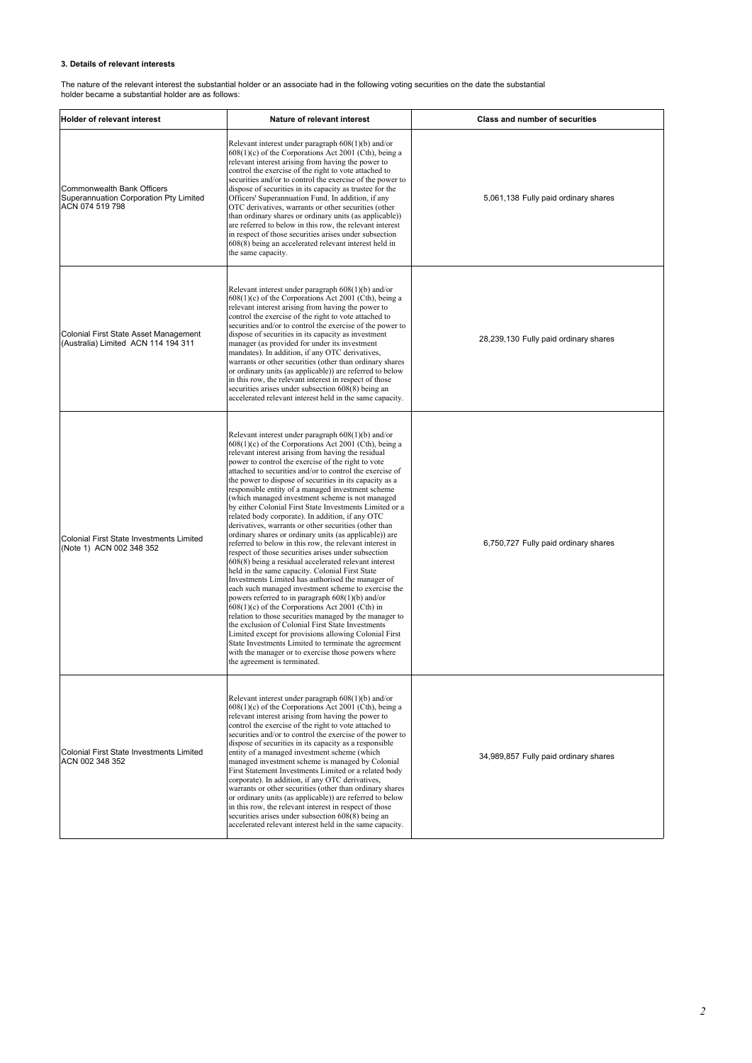### **3. Details of relevant interests**

The nature of the relevant interest the substantial holder or an associate had in the following voting securities on the date the substantial holder became a substantial holder are as follows:

| <b>Holder of relevant interest</b>                                                             | Nature of relevant interest                                                                                                                                                                                                                                                                                                                                                                                                                                                                                                                                                                                                                                                                                                                                                                                                                                                                                                                                                                                                                                                                                                                                                                                                                                                                                                                                                                                                                                             | <b>Class and number of securities</b> |
|------------------------------------------------------------------------------------------------|-------------------------------------------------------------------------------------------------------------------------------------------------------------------------------------------------------------------------------------------------------------------------------------------------------------------------------------------------------------------------------------------------------------------------------------------------------------------------------------------------------------------------------------------------------------------------------------------------------------------------------------------------------------------------------------------------------------------------------------------------------------------------------------------------------------------------------------------------------------------------------------------------------------------------------------------------------------------------------------------------------------------------------------------------------------------------------------------------------------------------------------------------------------------------------------------------------------------------------------------------------------------------------------------------------------------------------------------------------------------------------------------------------------------------------------------------------------------------|---------------------------------------|
| <b>Commonwealth Bank Officers</b><br>Superannuation Corporation Pty Limited<br>ACN 074 519 798 | Relevant interest under paragraph $608(1)(b)$ and/or<br>$608(1)(c)$ of the Corporations Act 2001 (Cth), being a<br>relevant interest arising from having the power to<br>control the exercise of the right to vote attached to<br>securities and/or to control the exercise of the power to<br>dispose of securities in its capacity as trustee for the<br>Officers' Superannuation Fund. In addition, if any<br>OTC derivatives, warrants or other securities (other<br>than ordinary shares or ordinary units (as applicable))<br>are referred to below in this row, the relevant interest<br>in respect of those securities arises under subsection<br>608(8) being an accelerated relevant interest held in<br>the same capacity.                                                                                                                                                                                                                                                                                                                                                                                                                                                                                                                                                                                                                                                                                                                                   | 5,061,138 Fully paid ordinary shares  |
| Colonial First State Asset Management<br>(Australia) Limited ACN 114 194 311                   | Relevant interest under paragraph $608(1)(b)$ and/or<br>$608(1)(c)$ of the Corporations Act 2001 (Cth), being a<br>relevant interest arising from having the power to<br>control the exercise of the right to vote attached to<br>securities and/or to control the exercise of the power to<br>dispose of securities in its capacity as investment<br>manager (as provided for under its investment<br>mandates). In addition, if any OTC derivatives,<br>warrants or other securities (other than ordinary shares<br>or ordinary units (as applicable)) are referred to below<br>in this row, the relevant interest in respect of those<br>securities arises under subsection 608(8) being an<br>accelerated relevant interest held in the same capacity.                                                                                                                                                                                                                                                                                                                                                                                                                                                                                                                                                                                                                                                                                                              | 28,239,130 Fully paid ordinary shares |
| Colonial First State Investments Limited<br>(Note 1) ACN 002 348 352                           | Relevant interest under paragraph $608(1)(b)$ and/or<br>$608(1)(c)$ of the Corporations Act 2001 (Cth), being a<br>relevant interest arising from having the residual<br>power to control the exercise of the right to vote<br>attached to securities and/or to control the exercise of<br>the power to dispose of securities in its capacity as a<br>responsible entity of a managed investment scheme<br>(which managed investment scheme is not managed<br>by either Colonial First State Investments Limited or a<br>related body corporate). In addition, if any OTC<br>derivatives, warrants or other securities (other than<br>ordinary shares or ordinary units (as applicable)) are<br>referred to below in this row, the relevant interest in<br>respect of those securities arises under subsection<br>608(8) being a residual accelerated relevant interest<br>held in the same capacity. Colonial First State<br>Investments Limited has authorised the manager of<br>each such managed investment scheme to exercise the<br>powers referred to in paragraph $608(1)(b)$ and/or<br>$608(1)(c)$ of the Corporations Act 2001 (Cth) in<br>relation to those securities managed by the manager to<br>the exclusion of Colonial First State Investments<br>Limited except for provisions allowing Colonial First<br>State Investments Limited to terminate the agreement<br>with the manager or to exercise those powers where<br>the agreement is terminated. | 6,750,727 Fully paid ordinary shares  |
| <b>Colonial First State Investments Limited</b><br>ACN 002 348 352                             | Relevant interest under paragraph $608(1)(b)$ and/or<br>$608(1)(c)$ of the Corporations Act 2001 (Cth), being a<br>relevant interest arising from having the power to<br>control the exercise of the right to vote attached to<br>securities and/or to control the exercise of the power to<br>dispose of securities in its capacity as a responsible<br>entity of a managed investment scheme (which<br>managed investment scheme is managed by Colonial<br>First Statement Investments Limited or a related body<br>corporate). In addition, if any OTC derivatives,<br>warrants or other securities (other than ordinary shares<br>or ordinary units (as applicable)) are referred to below<br>in this row, the relevant interest in respect of those<br>securities arises under subsection 608(8) being an<br>accelerated relevant interest held in the same capacity.                                                                                                                                                                                                                                                                                                                                                                                                                                                                                                                                                                                              | 34,989,857 Fully paid ordinary shares |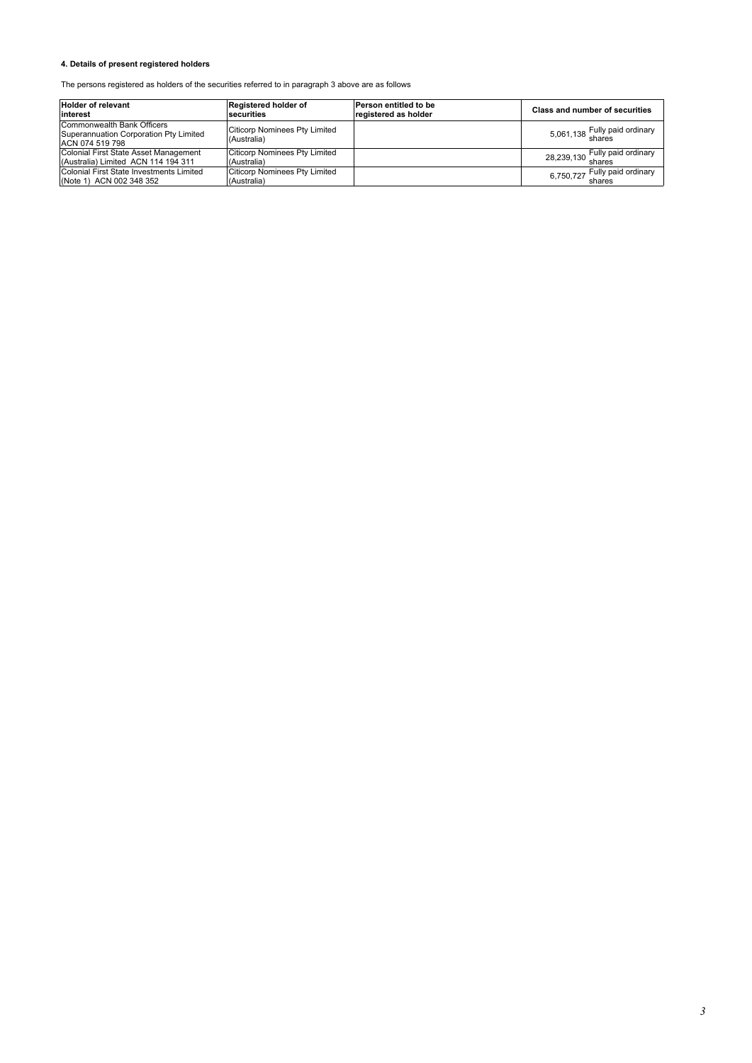## **4. Details of present registered holders**

The persons registered as holders of the securities referred to in paragraph 3 above are as follows:

| <b>Holder of relevant</b><br>linterest                                                  | Registered holder of<br>securities                  | Person entitled to be<br>registered as holder | Class and number of securities |
|-----------------------------------------------------------------------------------------|-----------------------------------------------------|-----------------------------------------------|--------------------------------|
| Commonwealth Bank Officers<br>Superannuation Corporation Pty Limited<br>ACN 074 519 798 | <b>Citicorp Nominees Pty Limited</b><br>(Australia) |                                               | 5,061,138 Fully paid ordinary  |
| Colonial First State Asset Management<br>(Australia) Limited ACN 114 194 311            | <b>Citicorp Nominees Pty Limited</b><br>(Australia) |                                               | 28,239,130 Fully paid ordinary |
| Colonial First State Investments Limited<br>(Note 1) ACN 002 348 352                    | <b>Citicorp Nominees Pty Limited</b><br>(Australia) |                                               | 6,750,727 Fully paid ordinary  |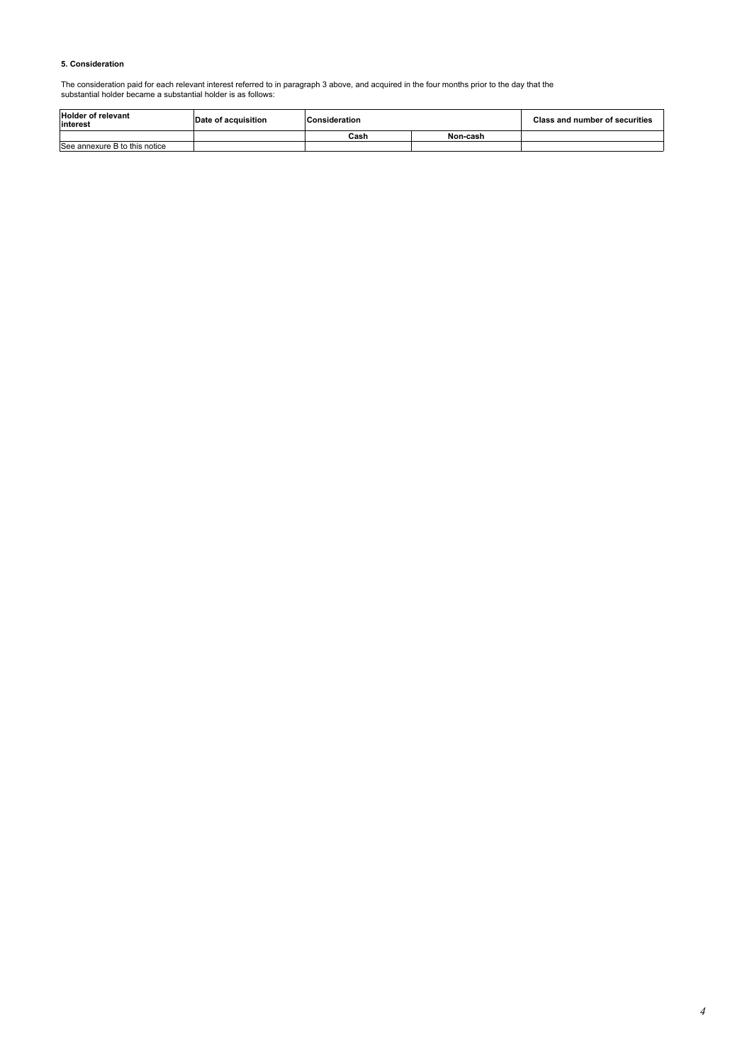#### **5. Consideration**

The consideration paid for each relevant interest referred to in paragraph 3 above, and acquired in the four months prior to the day that the substantial holder became a substantial holder is as follows:

| <b>Holder of relevant</b><br>interest | Date of acquisition | <b>Consideration</b> |          | <b>Class and number of securities</b> |
|---------------------------------------|---------------------|----------------------|----------|---------------------------------------|
|                                       |                     | Cash                 | Non-cash |                                       |
| See annexure B to this notice         |                     |                      |          |                                       |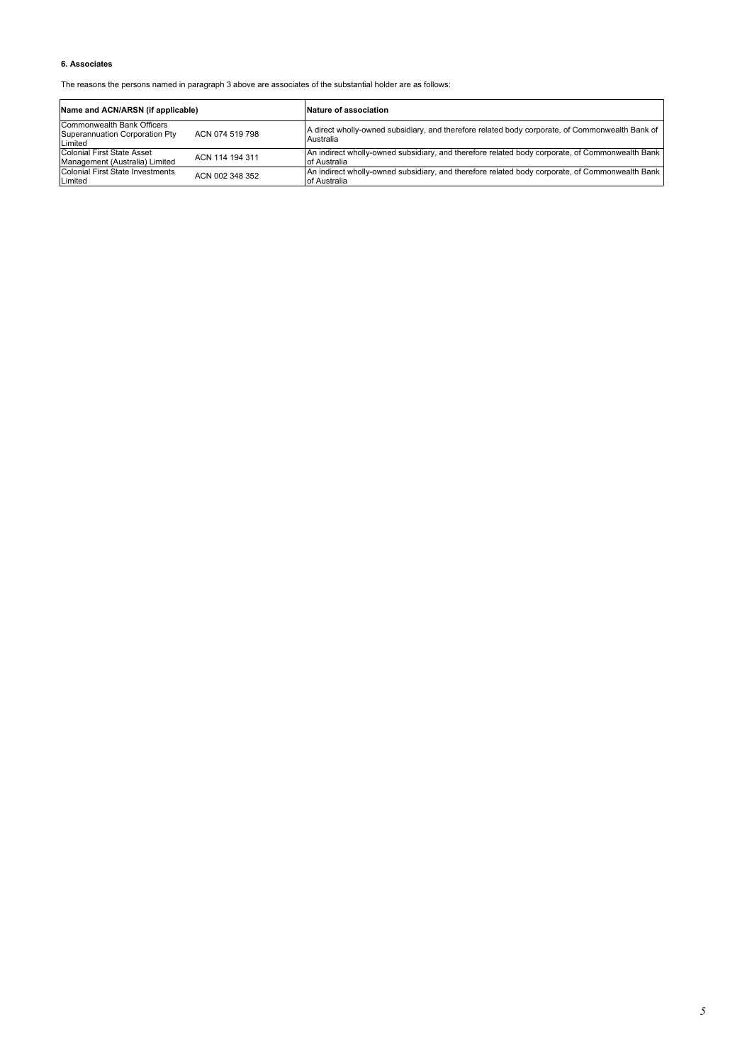## **6. Associates**

The reasons the persons named in paragraph 3 above are associates of the substantial holder are as follows:

| Name and ACN/ARSN (if applicable)                                       |                 | Nature of association                                                                                           |  |
|-------------------------------------------------------------------------|-----------------|-----------------------------------------------------------------------------------------------------------------|--|
| Commonwealth Bank Officers<br>Superannuation Corporation Pty<br>Limited | ACN 074 519 798 | A direct wholly-owned subsidiary, and therefore related body corporate, of Commonwealth Bank of<br>Australia    |  |
| Colonial First State Asset<br>Management (Australia) Limited            | ACN 114 194 311 | An indirect wholly-owned subsidiary, and therefore related body corporate, of Commonwealth Bank<br>of Australia |  |
| Colonial First State Investments<br>Limited                             | ACN 002 348 352 | An indirect wholly-owned subsidiary, and therefore related body corporate, of Commonwealth Bank<br>of Australia |  |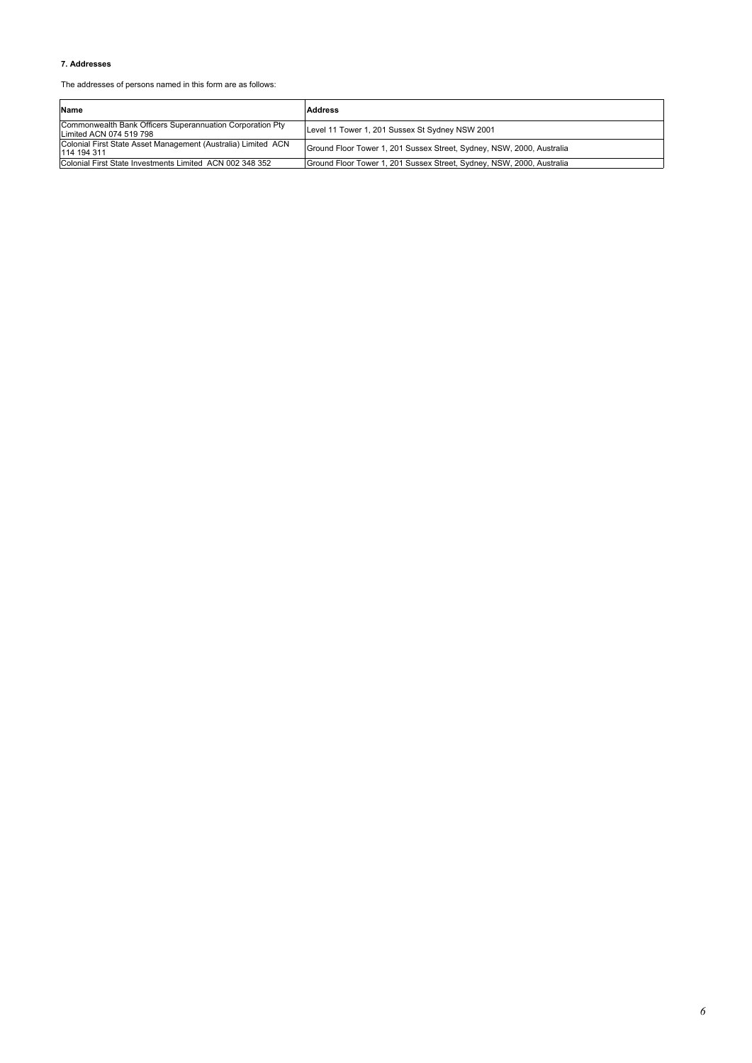## **7. Addresses**

The addresses of persons named in this form are as follows:

| Name                                                                                 | <b>Address</b>                                                        |
|--------------------------------------------------------------------------------------|-----------------------------------------------------------------------|
| Commonwealth Bank Officers Superannuation Corporation Pty<br>Limited ACN 074 519 798 | Level 11 Tower 1, 201 Sussex St Sydney NSW 2001                       |
| Colonial First State Asset Management (Australia) Limited ACN<br>114 194 311         | Ground Floor Tower 1, 201 Sussex Street, Sydney, NSW, 2000, Australia |
| Colonial First State Investments Limited ACN 002 348 352                             | Ground Floor Tower 1, 201 Sussex Street, Sydney, NSW, 2000, Australia |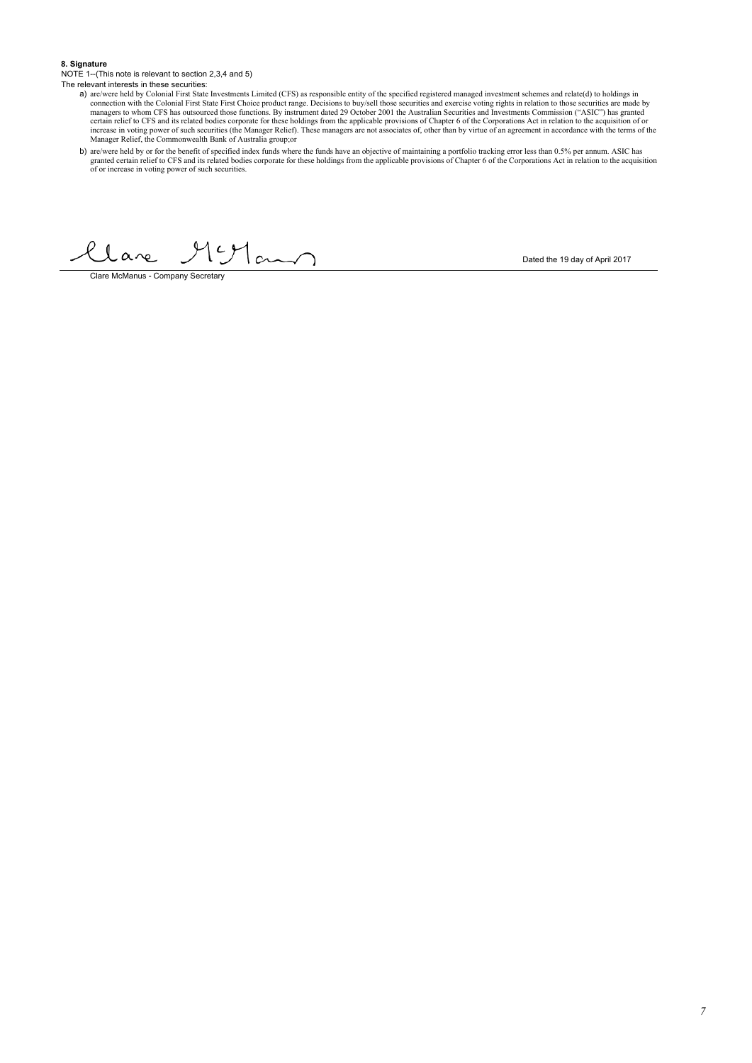#### **8. Signature**

NOTE 1--(This note is relevant to section 2,3,4 and 5) The relevant interests in these securities:

- a) are/were held by Colonial First State Investments Limited (CFS) as responsible entity of the specified registered managed investment schemes and relate(d) to holdings in connection with the Colonial First State First Ch
- b) are/were held by or for the benefit of specified index funds where the funds have an objective of maintaining a portfolio tracking error less than 0.5% per annum. ASIC has granted certain relief to Comporate for these h

llare  $191$ am

Clare McManus - Company Secretary

Dated the 19 day of April 2017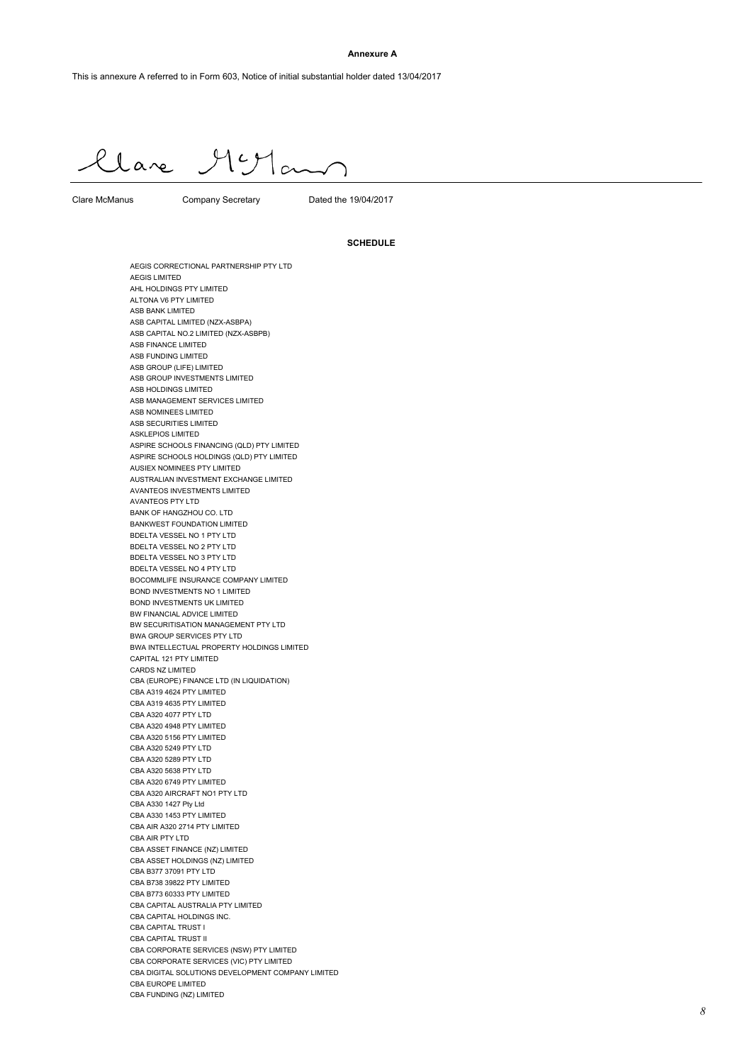#### **Annexure A**

Clare Muyland

Clare McManus Company Secretary Dated the 19/04/2017

#### **SCHEDULE**

AEGIS CORRECTIONAL PARTNERSHIP PTY LTD AEGIS LIMITED AHL HOLDINGS PTY LIMITED ALTONA V6 PTY LIMITED ASB BANK LIMITED ASB CAPITAL LIMITED (NZX-ASBPA) ASB CAPITAL NO.2 LIMITED (NZX-ASBPB) ASB FINANCE LIMITED ASB FUNDING LIMITED ASB GROUP (LIFE) LIMITED ASB GROUP INVESTMENTS LIMITED ASB HOLDINGS LIMITED ASB MANAGEMENT SERVICES LIMITED ASB NOMINEES LIMITED ASB SECURITIES LIMITED ASKLEPIOS LIMITED ASPIRE SCHOOLS FINANCING (QLD) PTY LIMITED ASPIRE SCHOOLS HOLDINGS (QLD) PTY LIMITED AUSIEX NOMINEES PTY LIMITED AUSTRALIAN INVESTMENT EXCHANGE LIMITED AVANTEOS INVESTMENTS LIMITED AVANTEOS PTY LTD BANK OF HANGZHOU CO. LTD BANKWEST FOUNDATION LIMITED BDELTA VESSEL NO 1 PTY LTD BDELTA VESSEL NO 2 PTY LTD BDELTA VESSEL NO 3 PTY LTD BDELTA VESSEL NO 4 PTY LTD BOCOMMLIFE INSURANCE COMPANY LIMITED BOND INVESTMENTS NO 1 LIMITED BOND INVESTMENTS UK LIMITED BW FINANCIAL ADVICE LIMITED BW SECURITISATION MANAGEMENT PTY LTD BWA GROUP SERVICES PTY LTD BWA INTELLECTUAL PROPERTY HOLDINGS LIMITED CAPITAL 121 PTY LIMITED CARDS NZ LIMITED CBA (EUROPE) FINANCE LTD (IN LIQUIDATION) CBA A319 4624 PTY LIMITED CBA A319 4635 PTY LIMITED CBA A320 4077 PTY LTD CBA A320 4948 PTY LIMITED CBA A320 5156 PTY LIMITED CBA A320 5249 PTY LTD CBA A320 5289 PTY LTD CBA A320 5638 PTY LTD CBA A320 6749 PTY LIMITED CBA A320 AIRCRAFT NO1 PTY LTD CBA A330 1427 Pty Ltd CBA A330 1453 PTY LIMITED CBA AIR A320 2714 PTY LIMITED CBA AIR PTY LTD CBA ASSET FINANCE (NZ) LIMITED CBA ASSET HOLDINGS (NZ) LIMITED CBA B377 37091 PTY LTD CBA B738 39822 PTY LIMITED CBA B773 60333 PTY LIMITED CBA CAPITAL AUSTRALIA PTY LIMITED CBA CAPITAL HOLDINGS INC. CBA CAPITAL TRUST I CBA CAPITAL TRUST II CBA CORPORATE SERVICES (NSW) PTY LIMITED CBA CORPORATE SERVICES (VIC) PTY LIMITED CBA DIGITAL SOLUTIONS DEVELOPMENT COMPANY LIMITED CBA EUROPE LIMITED CBA FUNDING (NZ) LIMITED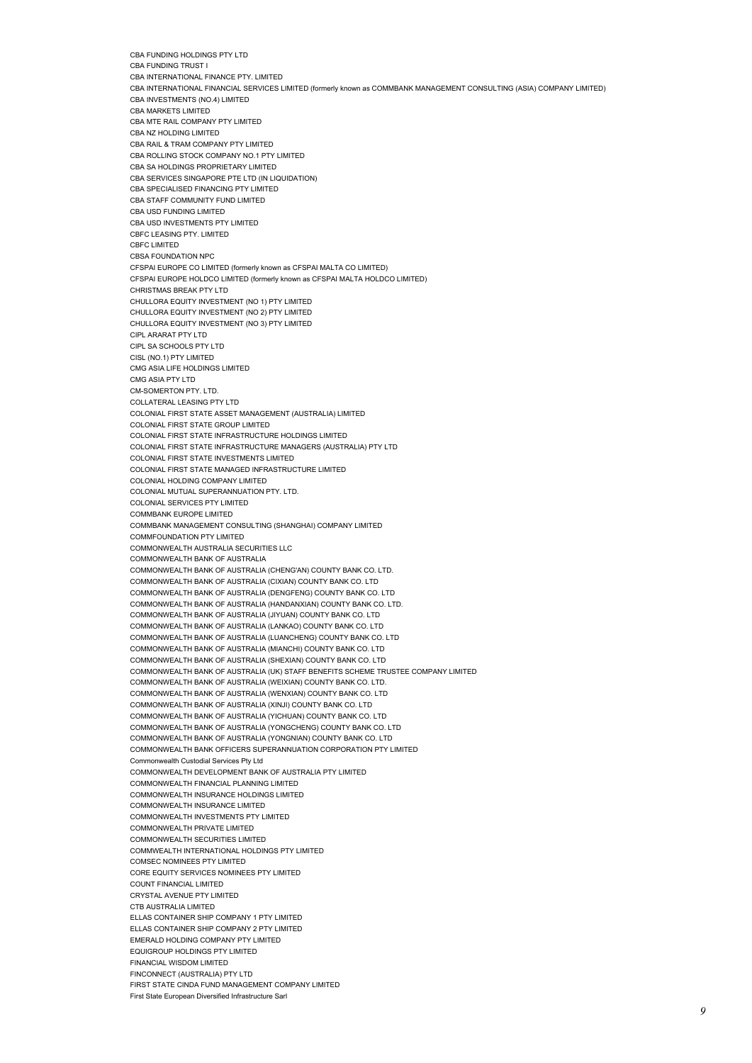CBA FUNDING TRUST I CBA INTERNATIONAL FINANCE PTY. LIMITED CBA INTERNATIONAL FINANCIAL SERVICES LIMITED (formerly known as COMMBANK MANAGEMENT CONSULTING (ASIA) COMPANY LIMITED) CBA INVESTMENTS (NO.4) LIMITED CBA MARKETS LIMITED CBA MTE RAIL COMPANY PTY LIMITED CBA NZ HOLDING LIMITED CBA RAIL & TRAM COMPANY PTY LIMITED CBA ROLLING STOCK COMPANY NO.1 PTY LIMITED CBA SA HOLDINGS PROPRIETARY LIMITED CBA SERVICES SINGAPORE PTE LTD (IN LIQUIDATION) CBA SPECIALISED FINANCING PTY LIMITED CBA STAFF COMMUNITY FUND LIMITED CBA USD FUNDING LIMITED CBA USD INVESTMENTS PTY LIMITED CBFC LEASING PTY. LIMITED CBFC LIMITED CBSA FOUNDATION NPC CFSPAI EUROPE CO LIMITED (formerly known as CFSPAI MALTA CO LIMITED) CFSPAI EUROPE HOLDCO LIMITED (formerly known as CFSPAI MALTA HOLDCO LIMITED) CHRISTMAS BREAK PTY LTD CHULLORA EQUITY INVESTMENT (NO 1) PTY LIMITED CHULLORA EQUITY INVESTMENT (NO 2) PTY LIMITED CHULLORA EQUITY INVESTMENT (NO 3) PTY LIMITED CIPL ARARAT PTY LTD CIPL SA SCHOOLS PTY LTD CISL (NO.1) PTY LIMITED CMG ASIA LIFE HOLDINGS LIMITED CMG ASIA PTY LTD CM-SOMERTON PTY. LTD. COLLATERAL LEASING PTY LTD COLONIAL FIRST STATE ASSET MANAGEMENT (AUSTRALIA) LIMITED COLONIAL FIRST STATE GROUP LIMITED COLONIAL FIRST STATE INFRASTRUCTURE HOLDINGS LIMITED COLONIAL FIRST STATE INFRASTRUCTURE MANAGERS (AUSTRALIA) PTY LTD COLONIAL FIRST STATE INVESTMENTS LIMITED COLONIAL FIRST STATE MANAGED INFRASTRUCTURE LIMITED COLONIAL HOLDING COMPANY LIMITED COLONIAL MUTUAL SUPERANNUATION PTY. LTD. COLONIAL SERVICES PTY LIMITED COMMBANK EUROPE LIMITED COMMBANK MANAGEMENT CONSULTING (SHANGHAI) COMPANY LIMITED COMMFOUNDATION PTY LIMITED COMMONWEALTH AUSTRALIA SECURITIES LLC COMMONWEALTH BANK OF AUSTRALIA COMMONWEALTH BANK OF AUSTRALIA (CHENG'AN) COUNTY BANK CO. LTD. COMMONWEALTH BANK OF AUSTRALIA (CIXIAN) COUNTY BANK CO. LTD COMMONWEALTH BANK OF AUSTRALIA (DENGFENG) COUNTY BANK CO. LTD COMMONWEALTH BANK OF AUSTRALIA (HANDANXIAN) COUNTY BANK CO. LTD. COMMONWEALTH BANK OF AUSTRALIA (JIYUAN) COUNTY BANK CO. LTD COMMONWEALTH BANK OF AUSTRALIA (LANKAO) COUNTY BANK CO. LTD COMMONWEALTH BANK OF AUSTRALIA (LUANCHENG) COUNTY BANK CO. LTD COMMONWEALTH BANK OF AUSTRALIA (MIANCHI) COUNTY BANK CO. LTD COMMONWEALTH BANK OF AUSTRALIA (SHEXIAN) COUNTY BANK CO. LTD COMMONWEALTH BANK OF AUSTRALIA (UK) STAFF BENEFITS SCHEME TRUSTEE COMPANY LIMITED COMMONWEALTH BANK OF AUSTRALIA (WEIXIAN) COUNTY BANK CO. LTD. COMMONWEALTH BANK OF AUSTRALIA (WENXIAN) COUNTY BANK CO. LTD COMMONWEALTH BANK OF AUSTRALIA (XINJI) COUNTY BANK CO. LTD COMMONWEALTH BANK OF AUSTRALIA (YICHUAN) COUNTY BANK CO. LTD COMMONWEALTH BANK OF AUSTRALIA (YONGCHENG) COUNTY BANK CO. LTD COMMONWEALTH BANK OF AUSTRALIA (YONGNIAN) COUNTY BANK CO. LTD COMMONWEALTH BANK OFFICERS SUPERANNUATION CORPORATION PTY LIMITED Commonwealth Custodial Services Pty Ltd COMMONWEALTH DEVELOPMENT BANK OF AUSTRALIA PTY LIMITED COMMONWEALTH FINANCIAL PLANNING LIMITED COMMONWEALTH INSURANCE HOLDINGS LIMITED COMMONWEALTH INSURANCE LIMITED COMMONWEALTH INVESTMENTS PTY LIMITED COMMONWEALTH PRIVATE LIMITED COMMONWEALTH SECURITIES LIMITED COMMWEALTH INTERNATIONAL HOLDINGS PTY LIMITED COMSEC NOMINEES PTY LIMITED CORE EQUITY SERVICES NOMINEES PTY LIMITED COUNT FINANCIAL LIMITED CRYSTAL AVENUE PTY LIMITED CTB AUSTRALIA LIMITED ELLAS CONTAINER SHIP COMPANY 1 PTY LIMITED ELLAS CONTAINER SHIP COMPANY 2 PTY LIMITED EMERALD HOLDING COMPANY PTY LIMITED EQUIGROUP HOLDINGS PTY LIMITED FINANCIAL WISDOM LIMITED FINCONNECT (AUSTRALIA) PTY LTD FIRST STATE CINDA FUND MANAGEMENT COMPANY LIMITED First State European Diversified Infrastructure Sarl

CBA FUNDING HOLDINGS PTY LTD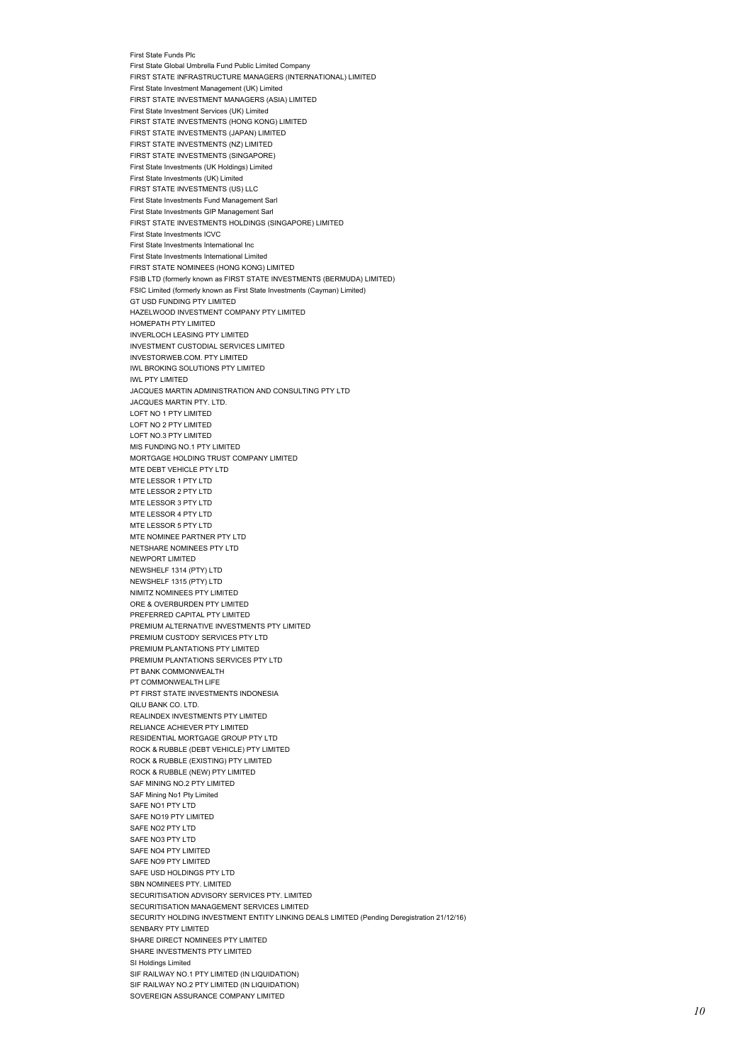First State Funds Plc First State Global Umbrella Fund Public Limited Company FIRST STATE INFRASTRUCTURE MANAGERS (INTERNATIONAL) LIMITED First State Investment Management (UK) Limited FIRST STATE INVESTMENT MANAGERS (ASIA) LIMITED First State Investment Services (UK) Limited FIRST STATE INVESTMENTS (HONG KONG) LIMITED FIRST STATE INVESTMENTS (JAPAN) LIMITED FIRST STATE INVESTMENTS (NZ) LIMITED FIRST STATE INVESTMENTS (SINGAPORE) First State Investments (UK Holdings) Limited First State Investments (UK) Limited FIRST STATE INVESTMENTS (US) LLC First State Investments Fund Management Sarl First State Investments GIP Management Sarl FIRST STATE INVESTMENTS HOLDINGS (SINGAPORE) LIMITED First State Investments ICVC First State Investments International Inc First State Investments International Limited FIRST STATE NOMINEES (HONG KONG) LIMITED FSIB LTD (formerly known as FIRST STATE INVESTMENTS (BERMUDA) LIMITED) FSIC Limited (formerly known as First State Investments (Cayman) Limited) GT USD FUNDING PTY LIMITED HAZELWOOD INVESTMENT COMPANY PTY LIMITED HOMEPATH PTY LIMITED INVERLOCH LEASING PTY LIMITED INVESTMENT CUSTODIAL SERVICES LIMITED INVESTORWEB.COM. PTY LIMITED IWL BROKING SOLUTIONS PTY LIMITED IWL PTY LIMITED JACQUES MARTIN ADMINISTRATION AND CONSULTING PTY LTD JACQUES MARTIN PTY. LTD. LOFT NO 1 PTY LIMITED LOFT NO 2 PTY LIMITED LOFT NO.3 PTY LIMITED MIS FUNDING NO.1 PTY LIMITED MORTGAGE HOLDING TRUST COMPANY LIMITED MTE DEBT VEHICLE PTY LTD MTE LESSOR 1 PTY LTD MTE LESSOR 2 PTY LTD MTE LESSOR 3 PTY LTD MTE LESSOR 4 PTY LTD MTE LESSOR 5 PTY LTD MTE NOMINEE PARTNER PTY LTD NETSHARE NOMINEES PTY LTD NEWPORT LIMITED NEWSHELF 1314 (PTY) LTD NEWSHELF 1315 (PTY) LTD NIMITZ NOMINEES PTY LIMITED ORE & OVERBURDEN PTY LIMITED PREFERRED CAPITAL PTY LIMITED PREMIUM ALTERNATIVE INVESTMENTS PTY LIMITED PREMIUM CUSTODY SERVICES PTY LTD PREMIUM PLANTATIONS PTY LIMITED PREMIUM PLANTATIONS SERVICES PTY LTD PT BANK COMMONWEALTH PT COMMONWEALTH LIFE PT FIRST STATE INVESTMENTS INDONESIA QILU BANK CO. LTD. REALINDEX INVESTMENTS PTY LIMITED RELIANCE ACHIEVER PTY LIMITED RESIDENTIAL MORTGAGE GROUP PTY LTD ROCK & RUBBLE (DEBT VEHICLE) PTY LIMITED ROCK & RUBBLE (EXISTING) PTY LIMITED ROCK & RUBBLE (NEW) PTY LIMITED SAF MINING NO.2 PTY LIMITED SAF Mining No1 Pty Limited SAFE NO1 PTY LTD SAFE NO19 PTY LIMITED SAFE NO<sub>2</sub> PTY LTD SAFE NO3 PTY LTD SAFE NO4 PTY LIMITED SAFE NO9 PTY LIMITED SAFE USD HOLDINGS PTY LTD SBN NOMINEES PTY. LIMITED SECURITISATION ADVISORY SERVICES PTY. LIMITED SECURITISATION MANAGEMENT SERVICES LIMITED SECURITY HOLDING INVESTMENT ENTITY LINKING DEALS LIMITED (Pending Deregistration 21/12/16) SENBARY PTY LIMITED SHARE DIRECT NOMINEES PTY LIMITED SHARE INVESTMENTS PTY LIMITED SI Holdings Limited SIF RAILWAY NO.1 PTY LIMITED (IN LIQUIDATION) SIF RAILWAY NO.2 PTY LIMITED (IN LIQUIDATION) SOVEREIGN ASSURANCE COMPANY LIMITED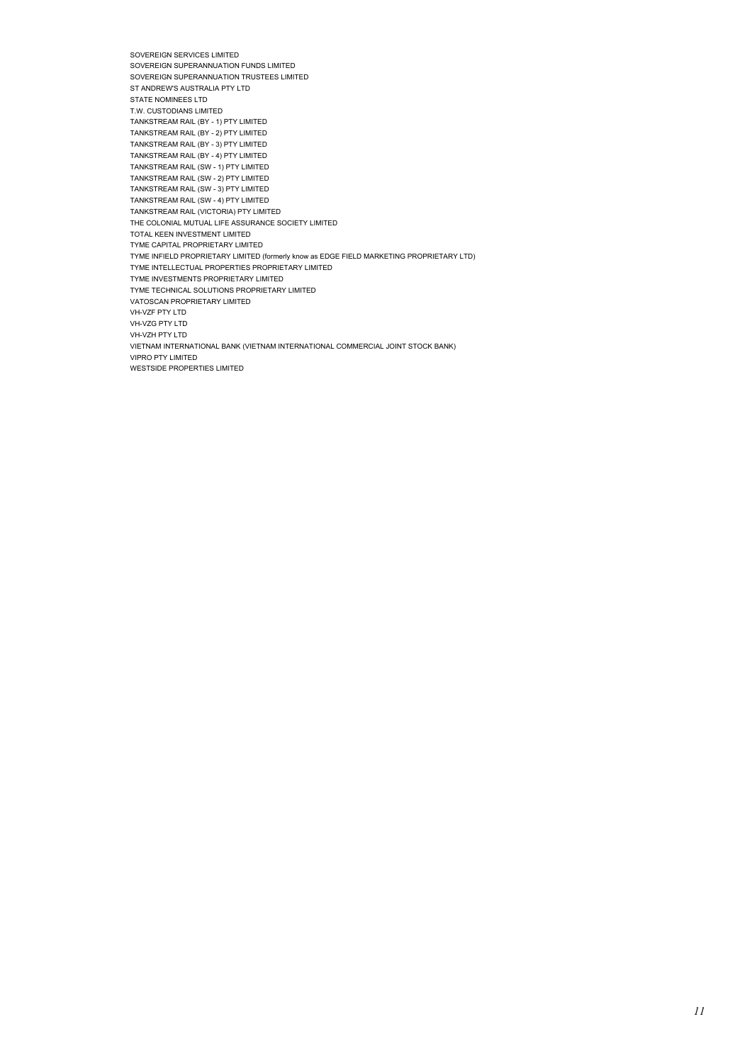SOVEREIGN SERVICES LIMITED SOVEREIGN SUPERANNUATION FUNDS LIMITED SOVEREIGN SUPERANNUATION TRUSTEES LIMITED ST ANDREW'S AUSTRALIA PTY LTD STATE NOMINEES LTD T.W. CUSTODIANS LIMITED TANKSTREAM RAIL (BY - 1) PTY LIMITED TANKSTREAM RAIL (BY - 2) PTY LIMITED TANKSTREAM RAIL (BY - 3) PTY LIMITED TANKSTREAM RAIL (BY - 4) PTY LIMITED TANKSTREAM RAIL (SW - 1) PTY LIMITED TANKSTREAM RAIL (SW - 2) PTY LIMITED TANKSTREAM RAIL (SW - 3) PTY LIMITED TANKSTREAM RAIL (SW - 4) PTY LIMITED TANKSTREAM RAIL (VICTORIA) PTY LIMITED THE COLONIAL MUTUAL LIFE ASSURANCE SOCIETY LIMITED TOTAL KEEN INVESTMENT LIMITED TYME CAPITAL PROPRIETARY LIMITED TYME INFIELD PROPRIETARY LIMITED (formerly know as EDGE FIELD MARKETING PROPRIETARY LTD) TYME INTELLECTUAL PROPERTIES PROPRIETARY LIMITED TYME INVESTMENTS PROPRIETARY LIMITED TYME TECHNICAL SOLUTIONS PROPRIETARY LIMITED VATOSCAN PROPRIETARY LIMITED VH-VZF PTY LTD VH-VZG PTY LTD VH-VZH PTY LTD VIETNAM INTERNATIONAL BANK (VIETNAM INTERNATIONAL COMMERCIAL JOINT STOCK BANK) VIPRO PTY LIMITED WESTSIDE PROPERTIES LIMITED